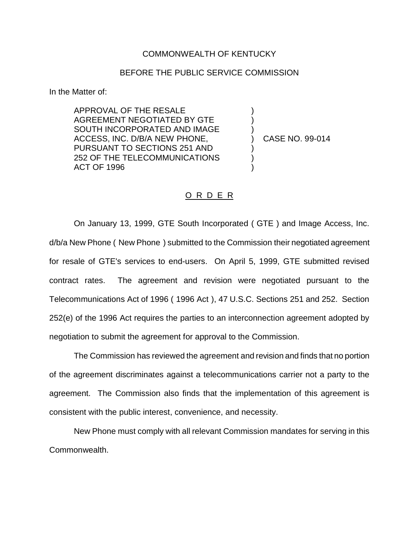## COMMONWEALTH OF KENTUCKY

## BEFORE THE PUBLIC SERVICE COMMISSION

In the Matter of:

APPROVAL OF THE RESALE AGREEMENT NEGOTIATED BY GTE SOUTH INCORPORATED AND IMAGE ACCESS, INC. D/B/A NEW PHONE, PURSUANT TO SECTIONS 251 AND 252 OF THE TELECOMMUNICATIONS ACT OF 1996

) CASE NO. 99-014

) ) )

) ) )

## O R D E R

On January 13, 1999, GTE South Incorporated ( GTE ) and Image Access, Inc. d/b/a New Phone ( New Phone ) submitted to the Commission their negotiated agreement for resale of GTE's services to end-users. On April 5, 1999, GTE submitted revised contract rates. The agreement and revision were negotiated pursuant to the Telecommunications Act of 1996 ( 1996 Act ), 47 U.S.C. Sections 251 and 252. Section 252(e) of the 1996 Act requires the parties to an interconnection agreement adopted by negotiation to submit the agreement for approval to the Commission.

The Commission has reviewed the agreement and revision and finds that no portion of the agreement discriminates against a telecommunications carrier not a party to the agreement. The Commission also finds that the implementation of this agreement is consistent with the public interest, convenience, and necessity.

New Phone must comply with all relevant Commission mandates for serving in this Commonwealth.